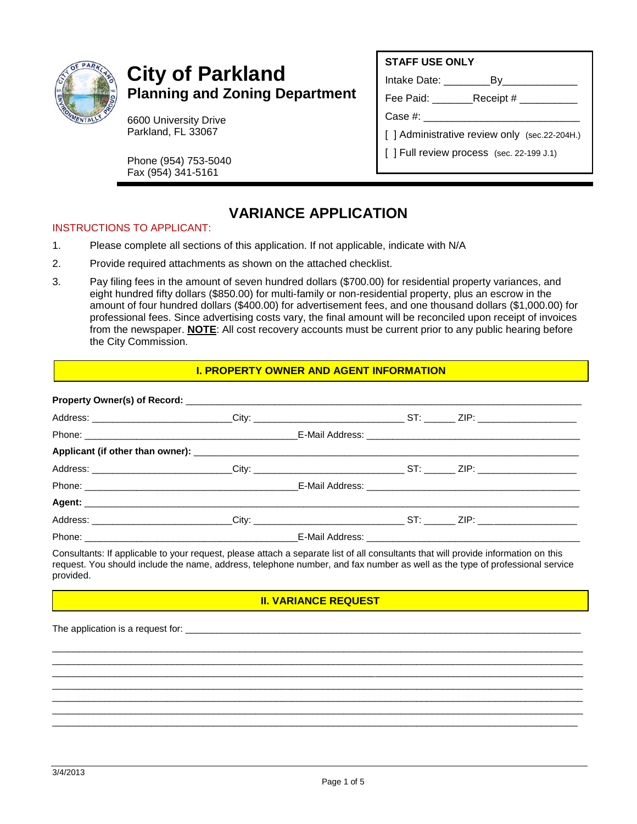

# **City of Parkland Planning and Zoning Department**

6600 University Drive Parkland, FL 33067

Phone (954) 753-5040 Fax (954) 341-5161

Intake Date: \_\_\_\_\_\_\_\_By\_\_\_\_\_\_\_\_\_\_\_\_\_

Fee Paid: \_\_\_\_\_\_\_Receipt # \_\_\_\_\_\_\_\_\_\_

Case #: \_\_\_\_\_\_\_\_\_\_\_\_\_\_\_\_\_\_\_\_\_\_\_\_\_\_\_

- [ ] Administrative review only (sec.22-204H.)
- [ ] Full review process (sec. 22-199 J.1)

## **VARIANCE APPLICATION**

#### INSTRUCTIONS TO APPLICANT:

- 1. Please complete all sections of this application. If not applicable, indicate with N/A
- 2. Provide required attachments as shown on the attached checklist.
- 3. Pay filing fees in the amount of seven hundred dollars (\$700.00) for residential property variances, and eight hundred fifty dollars (\$850.00) for multi-family or non-residential property, plus an escrow in the amount of four hundred dollars (\$400.00) for advertisement fees, and one thousand dollars (\$1,000.00) for professional fees. Since advertising costs vary, the final amount will be reconciled upon receipt of invoices from the newspaper. **NOTE**: All cost recovery accounts must be current prior to any public hearing before the City Commission.

#### **I. PROPERTY OWNER AND AGENT INFORMATION**

| Address: __________________________City: ______________________________ST: _________ZIP: _____________________ |  |  |  |
|----------------------------------------------------------------------------------------------------------------|--|--|--|
|                                                                                                                |  |  |  |
|                                                                                                                |  |  |  |
|                                                                                                                |  |  |  |
|                                                                                                                |  |  |  |
|                                                                                                                |  |  |  |
| Address: _________________________City: ______________________________ST: _________ZIP: ______________________ |  |  |  |
|                                                                                                                |  |  |  |

Consultants: If applicable to your request, please attach a separate list of all consultants that will provide information on this request. You should include the name, address, telephone number, and fax number as well as the type of professional service provided.

## **II. VARIANCE REQUEST**

\_\_\_\_\_\_\_\_\_\_\_\_\_\_\_\_\_\_\_\_\_\_\_\_\_\_\_\_\_\_\_\_\_\_\_\_\_\_\_\_\_\_\_\_\_\_\_\_\_\_\_\_\_\_\_\_\_\_\_\_\_\_\_\_\_\_\_\_\_\_\_\_\_\_\_\_\_\_\_\_\_\_\_\_\_\_\_\_\_\_\_\_\_\_\_\_\_\_\_\_\_\_ \_\_\_\_\_\_\_\_\_\_\_\_\_\_\_\_\_\_\_\_\_\_\_\_\_\_\_\_\_\_\_\_\_\_\_\_\_\_\_\_\_\_\_\_\_\_\_\_\_\_\_\_\_\_\_\_\_\_\_\_\_\_\_\_\_\_\_\_\_\_\_\_\_\_\_\_\_\_\_\_\_\_\_\_\_\_\_\_\_\_\_\_\_\_\_\_\_\_\_\_\_\_ \_\_\_\_\_\_\_\_\_\_\_\_\_\_\_\_\_\_\_\_\_\_\_\_\_\_\_\_\_\_\_\_\_\_\_\_\_\_\_\_\_\_\_\_\_\_\_\_\_\_\_\_\_\_\_\_\_\_\_\_\_\_\_\_\_\_\_\_\_\_\_\_\_\_\_\_\_\_\_\_\_\_\_\_\_\_\_\_\_\_\_\_\_\_\_\_\_\_\_\_\_\_ \_\_\_\_\_\_\_\_\_\_\_\_\_\_\_\_\_\_\_\_\_\_\_\_\_\_\_\_\_\_\_\_\_\_\_\_\_\_\_\_\_\_\_\_\_\_\_\_\_\_\_\_\_\_\_\_\_\_\_\_\_\_\_\_\_\_\_\_\_\_\_\_\_\_\_\_\_\_\_\_\_\_\_\_\_\_\_\_\_\_\_\_\_\_\_\_\_\_\_\_\_\_ \_\_\_\_\_\_\_\_\_\_\_\_\_\_\_\_\_\_\_\_\_\_\_\_\_\_\_\_\_\_\_\_\_\_\_\_\_\_\_\_\_\_\_\_\_\_\_\_\_\_\_\_\_\_\_\_\_\_\_\_\_\_\_\_\_\_\_\_\_\_\_\_\_\_\_\_\_\_\_\_\_\_\_\_\_\_\_\_\_\_\_\_\_\_\_\_\_\_\_\_\_\_ \_\_\_\_\_\_\_\_\_\_\_\_\_\_\_\_\_\_\_\_\_\_\_\_\_\_\_\_\_\_\_\_\_\_\_\_\_\_\_\_\_\_\_\_\_\_\_\_\_\_\_\_\_\_\_\_\_\_\_\_\_\_\_\_\_\_\_\_\_\_\_\_\_\_\_\_\_\_\_\_\_\_\_\_\_\_\_\_\_\_\_\_\_\_\_\_\_\_\_\_\_\_ \_\_\_\_\_\_\_\_\_\_\_\_\_\_\_\_\_\_\_\_\_\_\_\_\_\_\_\_\_\_\_\_\_\_\_\_\_\_\_\_\_\_\_\_\_\_\_\_\_\_\_\_\_\_\_\_\_\_\_\_\_\_\_\_\_\_\_\_\_\_\_\_\_\_\_\_\_\_\_\_\_\_\_\_\_\_\_\_\_\_\_\_\_\_\_\_\_\_\_\_\_

The application is a request for: \_\_\_\_\_\_\_\_\_\_\_\_\_\_\_\_\_\_\_\_\_\_\_\_\_\_\_\_\_\_\_\_\_\_\_\_\_\_\_\_\_\_\_\_\_\_\_\_\_\_\_\_\_\_\_\_\_\_\_\_\_\_\_\_\_\_\_\_\_\_\_\_\_\_\_\_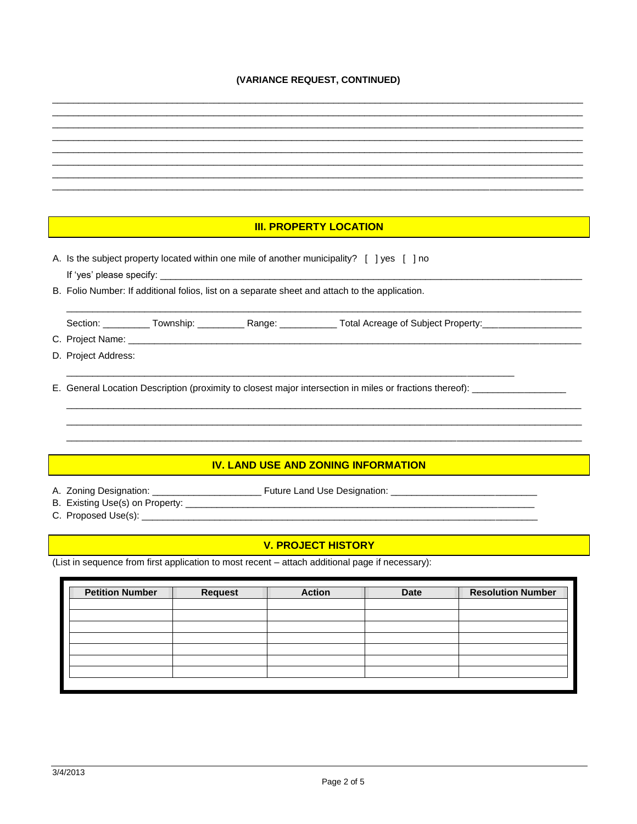### (VARIANCE REQUEST, CONTINUED)

| <b>III. PROPERTY LOCATION</b>                                                                                         |                                         |  |  |  |
|-----------------------------------------------------------------------------------------------------------------------|-----------------------------------------|--|--|--|
| A. Is the subject property located within one mile of another municipality? [ ] yes [ ] no                            |                                         |  |  |  |
| B. Folio Number: If additional folios, list on a separate sheet and attach to the application.                        |                                         |  |  |  |
| Section: ___________ Township: ___________ Range: ____________ Total Acreage of Subject Property: ______________      |                                         |  |  |  |
| D. Project Address:                                                                                                   |                                         |  |  |  |
| E. General Location Description (proximity to closest major intersection in miles or fractions thereof): ____________ |                                         |  |  |  |
|                                                                                                                       |                                         |  |  |  |
|                                                                                                                       |                                         |  |  |  |
|                                                                                                                       |                                         |  |  |  |
| <b>IV. LAND USE AND ZONING INFORMATION</b>                                                                            |                                         |  |  |  |
|                                                                                                                       |                                         |  |  |  |
| <b>V. PROJECT HISTORY</b>                                                                                             |                                         |  |  |  |
| (List in sequence from first application to most recent - attach additional page if necessary):                       |                                         |  |  |  |
|                                                                                                                       |                                         |  |  |  |
| <b>Petition Number</b><br><b>Request</b><br><b>Action</b>                                                             | <b>Resolution Number</b><br><b>Date</b> |  |  |  |
|                                                                                                                       |                                         |  |  |  |
|                                                                                                                       |                                         |  |  |  |
|                                                                                                                       |                                         |  |  |  |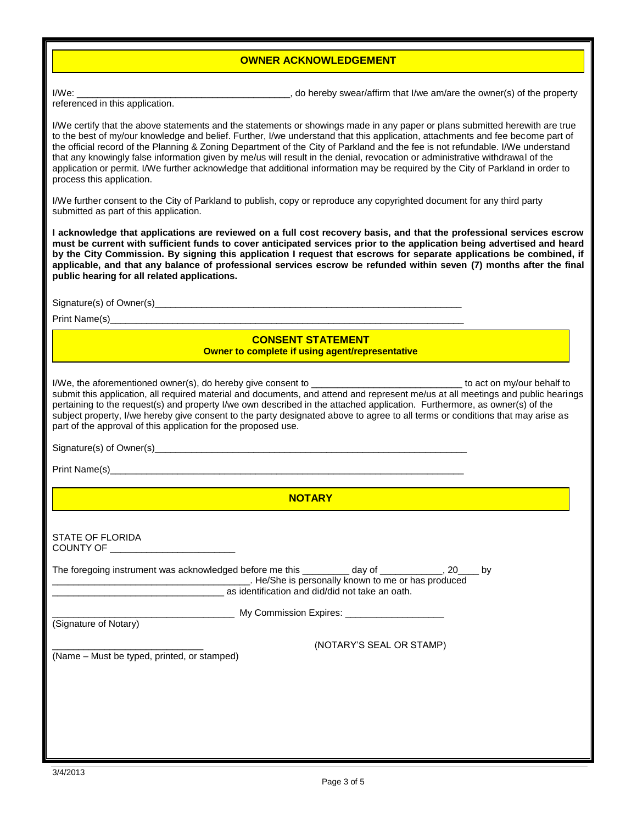#### **OWNER ACKNOWLEDGEMENT**

I/We: \_\_\_\_\_\_\_\_\_\_\_\_\_\_\_\_\_\_\_\_\_\_\_\_\_\_\_\_\_\_\_\_\_\_\_\_\_\_\_\_\_, do hereby swear/affirm that I/we am/are the owner(s) of the property

referenced in this application.

I/We certify that the above statements and the statements or showings made in any paper or plans submitted herewith are true to the best of my/our knowledge and belief. Further, I/we understand that this application, attachments and fee become part of the official record of the Planning & Zoning Department of the City of Parkland and the fee is not refundable. I/We understand that any knowingly false information given by me/us will result in the denial, revocation or administrative withdrawal of the application or permit. I/We further acknowledge that additional information may be required by the City of Parkland in order to process this application.

I/We further consent to the City of Parkland to publish, copy or reproduce any copyrighted document for any third party submitted as part of this application.

**I acknowledge that applications are reviewed on a full cost recovery basis, and that the professional services escrow must be current with sufficient funds to cover anticipated services prior to the application being advertised and heard by the City Commission. By signing this application I request that escrows for separate applications be combined, if applicable, and that any balance of professional services escrow be refunded within seven (7) months after the final public hearing for all related applications.**

Signature(s) of Owner(s)\_\_\_\_\_\_\_\_\_\_\_\_\_\_\_\_\_\_\_\_\_\_\_\_\_\_\_\_\_\_\_\_\_\_\_\_\_\_\_\_\_\_\_\_\_\_\_\_\_\_\_\_\_\_\_\_\_\_\_

Print Name(s)

#### **CONSENT STATEMENT Owner to complete if using agent/representative**

I/We, the aforementioned owner(s), do hereby give consent to **with the acta and the matter of the set on** my/our behalf to submit this application, all required material and documents, and attend and represent me/us at all meetings and public hearings pertaining to the request(s) and property I/we own described in the attached application. Furthermore, as owner(s) of the subject property, I/we hereby give consent to the party designated above to agree to all terms or conditions that may arise as part of the approval of this application for the proposed use.

Signature(s) of Owner(s)

Print Name(s)

**NOTARY**

| STATE OF FLORIDA<br>COUNTY OF THE COUNTY OF                                                           |                                                                                                       |                          |  |
|-------------------------------------------------------------------------------------------------------|-------------------------------------------------------------------------------------------------------|--------------------------|--|
| The foregoing instrument was acknowledged before me this ___________ day of _____________, 20_____ by | . He/She is personally known to me or has produced<br>as identification and did/did not take an oath. |                          |  |
|                                                                                                       | My Commission Expires: Network and the Commission Expires:                                            |                          |  |
| (Signature of Notary)                                                                                 |                                                                                                       |                          |  |
| (Name - Must be typed, printed, or stamped)                                                           |                                                                                                       | (NOTARY'S SEAL OR STAMP) |  |
|                                                                                                       |                                                                                                       |                          |  |
|                                                                                                       |                                                                                                       |                          |  |
|                                                                                                       |                                                                                                       |                          |  |
|                                                                                                       |                                                                                                       |                          |  |
|                                                                                                       |                                                                                                       |                          |  |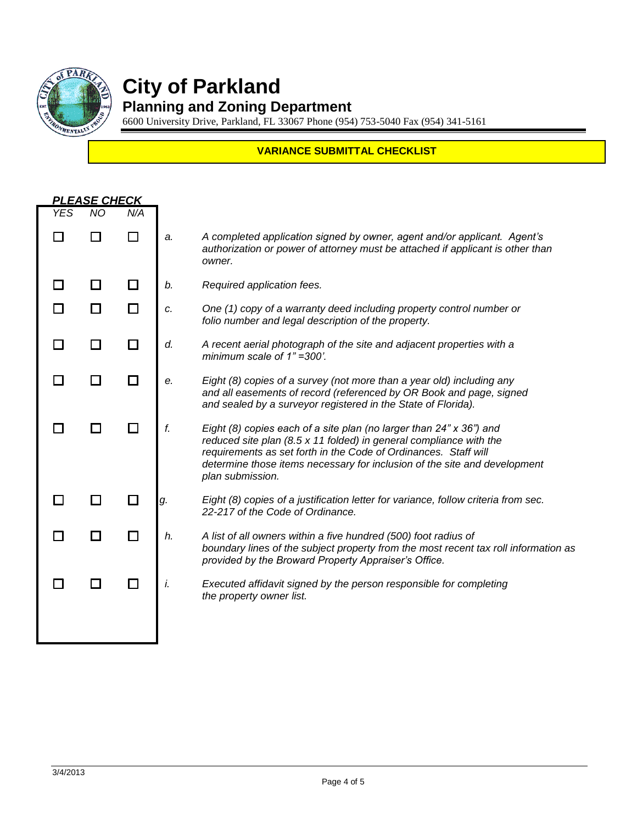

# **City of Parkland**

## **Planning and Zoning Department**

6600 University Drive, Parkland, FL 33067 Phone (954) 753-5040 Fax (954) 341-5161

## **VARIANCE SUBMITTAL CHECKLIST**

|            | <b>PLEASE CHECK</b> |     |    |                                                                                                                                                                                                                                                                                                               |
|------------|---------------------|-----|----|---------------------------------------------------------------------------------------------------------------------------------------------------------------------------------------------------------------------------------------------------------------------------------------------------------------|
| <b>YES</b> | NO                  | N/A |    |                                                                                                                                                                                                                                                                                                               |
|            |                     |     | a. | A completed application signed by owner, agent and/or applicant. Agent's<br>authorization or power of attorney must be attached if applicant is other than<br>owner.                                                                                                                                          |
|            |                     | П   | b. | Required application fees.                                                                                                                                                                                                                                                                                    |
| $\Box$     |                     | П   | c. | One (1) copy of a warranty deed including property control number or<br>folio number and legal description of the property.                                                                                                                                                                                   |
|            |                     |     | d. | A recent aerial photograph of the site and adjacent properties with a<br>minimum scale of 1"=300'.                                                                                                                                                                                                            |
|            |                     |     | е. | Eight (8) copies of a survey (not more than a year old) including any<br>and all easements of record (referenced by OR Book and page, signed<br>and sealed by a surveyor registered in the State of Florida).                                                                                                 |
|            |                     |     | f. | Eight (8) copies each of a site plan (no larger than 24" x 36") and<br>reduced site plan (8.5 x 11 folded) in general compliance with the<br>requirements as set forth in the Code of Ordinances. Staff will<br>determine those items necessary for inclusion of the site and development<br>plan submission. |
|            |                     |     | g. | Eight (8) copies of a justification letter for variance, follow criteria from sec.<br>22-217 of the Code of Ordinance.                                                                                                                                                                                        |
|            |                     |     | h. | A list of all owners within a five hundred (500) foot radius of<br>boundary lines of the subject property from the most recent tax roll information as<br>provided by the Broward Property Appraiser's Office.                                                                                                |
|            |                     |     | i. | Executed affidavit signed by the person responsible for completing<br>the property owner list.                                                                                                                                                                                                                |